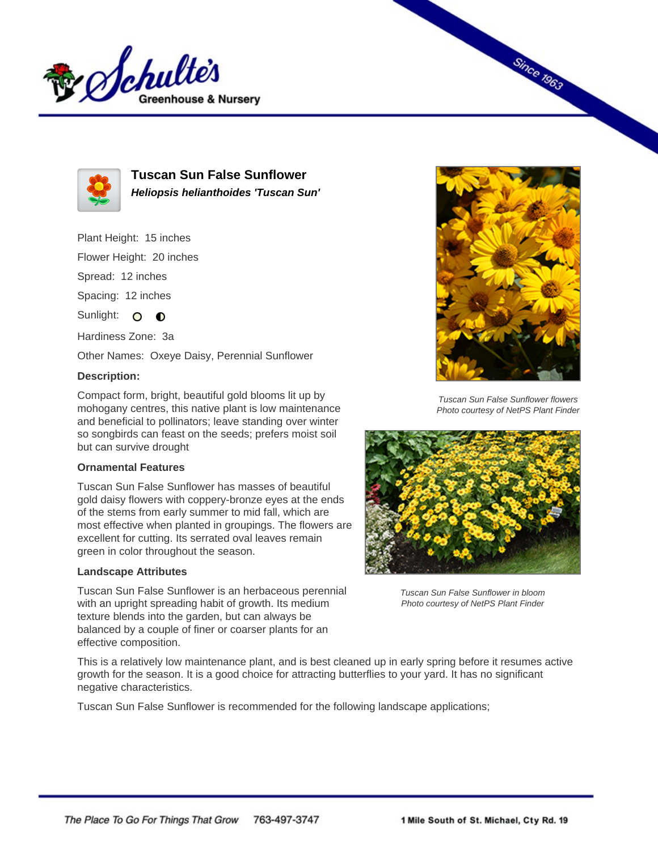



**Tuscan Sun False Sunflower Heliopsis helianthoides 'Tuscan Sun'**

Plant Height: 15 inches

Flower Height: 20 inches

Spread: 12 inches

Spacing: 12 inches

Sunlight: 0 0

Hardiness Zone: 3a

Other Names: Oxeye Daisy, Perennial Sunflower

## **Description:**

Compact form, bright, beautiful gold blooms lit up by mohogany centres, this native plant is low maintenance and beneficial to pollinators; leave standing over winter so songbirds can feast on the seeds; prefers moist soil but can survive drought

## **Ornamental Features**

Tuscan Sun False Sunflower has masses of beautiful gold daisy flowers with coppery-bronze eyes at the ends of the stems from early summer to mid fall, which are most effective when planted in groupings. The flowers are excellent for cutting. Its serrated oval leaves remain green in color throughout the season.

## **Landscape Attributes**

Tuscan Sun False Sunflower is an herbaceous perennial with an upright spreading habit of growth. Its medium texture blends into the garden, but can always be balanced by a couple of finer or coarser plants for an effective composition.



**Since 1963** 

Tuscan Sun False Sunflower flowers Photo courtesy of NetPS Plant Finder



Tuscan Sun False Sunflower in bloom Photo courtesy of NetPS Plant Finder

This is a relatively low maintenance plant, and is best cleaned up in early spring before it resumes active growth for the season. It is a good choice for attracting butterflies to your yard. It has no significant negative characteristics.

Tuscan Sun False Sunflower is recommended for the following landscape applications;